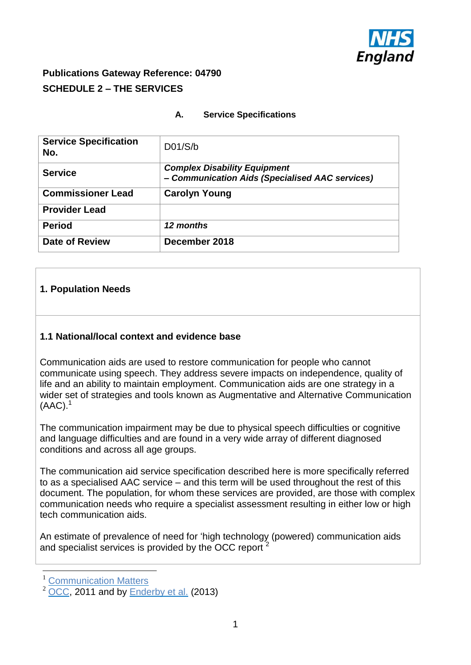

## **Publications Gateway Reference: 04790 SCHEDULE 2 – THE SERVICES**

## **A. Service Specifications**

| <b>Service Specification</b><br>No. | D01/S/b                                                                                |
|-------------------------------------|----------------------------------------------------------------------------------------|
| <b>Service</b>                      | <b>Complex Disability Equipment</b><br>- Communication Aids (Specialised AAC services) |
| <b>Commissioner Lead</b>            | <b>Carolyn Young</b>                                                                   |
| <b>Provider Lead</b>                |                                                                                        |
| <b>Period</b>                       | 12 months                                                                              |
| <b>Date of Review</b>               | December 2018                                                                          |

## **1. Population Needs**

#### **1.1 National/local context and evidence base**

Communication aids are used to restore communication for people who cannot communicate using speech. They address severe impacts on independence, quality of life and an ability to maintain employment. Communication aids are one strategy in a wider set of strategies and tools known as Augmentative and Alternative Communication  $(AAC).<sup>1</sup>$ 

The communication impairment may be due to physical speech difficulties or cognitive and language difficulties and are found in a very wide array of different diagnosed conditions and across all age groups.

The communication aid service specification described here is more specifically referred to as a specialised AAC service – and this term will be used throughout the rest of this document. The population, for whom these services are provided, are those with complex communication needs who require a specialist assessment resulting in either low or high tech communication aids.

An estimate of prevalence of need for 'high technology (powered) communication aids and specialist services is provided by the OCC report <sup>2</sup>

1

<sup>&</sup>lt;sup>1</sup> [Communication Matters](http://www.communicationmatters.org.uk/page/about-aac)

 $2\overline{OCC}$ , 2011 and by [Enderby et al.](http://www.communicationmatters.org.uk/sites/default/files/downloads/projects/aac_evidence_base/2013_AAC_Evidence_Base_Beyond_the_Anecdote.pdf) (2013)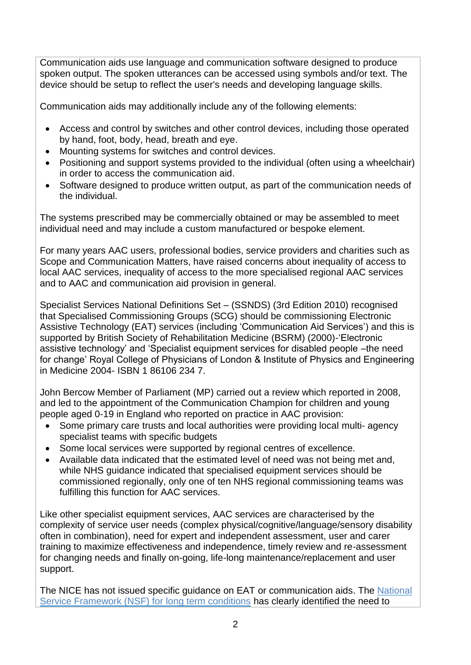Communication aids use language and communication software designed to produce spoken output. The spoken utterances can be accessed using symbols and/or text. The device should be setup to reflect the user's needs and developing language skills.

Communication aids may additionally include any of the following elements:

- Access and control by switches and other control devices, including those operated by hand, foot, body, head, breath and eye.
- Mounting systems for switches and control devices.
- Positioning and support systems provided to the individual (often using a wheelchair) in order to access the communication aid.
- Software designed to produce written output, as part of the communication needs of the individual.

The systems prescribed may be commercially obtained or may be assembled to meet individual need and may include a custom manufactured or bespoke element.

For many years AAC users, professional bodies, service providers and charities such as Scope and Communication Matters, have raised concerns about inequality of access to local AAC services, inequality of access to the more specialised regional AAC services and to AAC and communication aid provision in general.

Specialist Services National Definitions Set – (SSNDS) (3rd Edition 2010) recognised that Specialised Commissioning Groups (SCG) should be commissioning Electronic Assistive Technology (EAT) services (including 'Communication Aid Services') and this is supported by British Society of Rehabilitation Medicine (BSRM) (2000)-'Electronic assistive technology' and 'Specialist equipment services for disabled people –the need for change' Royal College of Physicians of London & Institute of Physics and Engineering in Medicine 2004- ISBN 1 86106 234 7.

John Bercow Member of Parliament (MP) carried out a review which reported in 2008, and led to the appointment of the Communication Champion for children and young people aged 0-19 in England who reported on practice in AAC provision:

- Some primary care trusts and local authorities were providing local multi- agency specialist teams with specific budgets
- Some local services were supported by regional centres of excellence.
- Available data indicated that the estimated level of need was not being met and, while NHS guidance indicated that specialised equipment services should be commissioned regionally, only one of ten NHS regional commissioning teams was fulfilling this function for AAC services.

Like other specialist equipment services, AAC services are characterised by the complexity of service user needs (complex physical/cognitive/language/sensory disability often in combination), need for expert and independent assessment, user and carer training to maximize effectiveness and independence, timely review and re-assessment for changing needs and finally on-going, life-long maintenance/replacement and user support.

The NICE has not issued specific guidance on EAT or communication aids. The National [Service Framework \(NSF\) for long term conditions](https://www.gov.uk/government/publications/quality-standards-for-supporting-people-with-long-term-conditions) has clearly identified the need to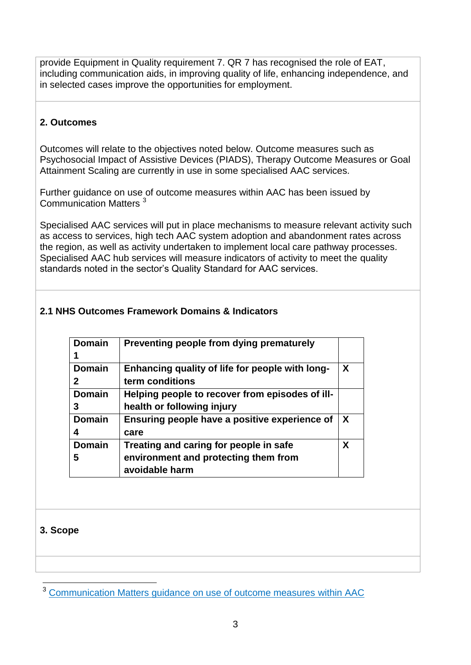provide Equipment in Quality requirement 7. QR 7 has recognised the role of EAT, including communication aids, in improving quality of life, enhancing independence, and in selected cases improve the opportunities for employment.

## **2. Outcomes**

Outcomes will relate to the objectives noted below. Outcome measures such as Psychosocial Impact of Assistive Devices (PIADS), Therapy Outcome Measures or Goal Attainment Scaling are currently in use in some specialised AAC services.

Further guidance on use of outcome measures within AAC has been issued by Communication Matters<sup>3</sup>

Specialised AAC services will put in place mechanisms to measure relevant activity such as access to services, high tech AAC system adoption and abandonment rates across the region, as well as activity undertaken to implement local care pathway processes. Specialised AAC hub services will measure indicators of activity to meet the quality standards noted in the sector's Quality Standard for AAC services.

## **2.1 NHS Outcomes Framework Domains & Indicators**

| <b>Domain</b> | Preventing people from dying prematurely        |   |
|---------------|-------------------------------------------------|---|
|               |                                                 |   |
| <b>Domain</b> | Enhancing quality of life for people with long- | X |
| 2             | term conditions                                 |   |
| <b>Domain</b> | Helping people to recover from episodes of ill- |   |
| 3             | health or following injury                      |   |
| <b>Domain</b> | Ensuring people have a positive experience of   | X |
|               | care                                            |   |
| <b>Domain</b> | Treating and caring for people in safe          | X |
| 5             | environment and protecting them from            |   |
|               | avoidable harm                                  |   |

## **3. Scope**

<sup>1</sup> <sup>3</sup> [Communication Matters guidance on use of outcome measures within AAC](http://www.communicationmatters.org.uk/news-item/2012-aac-outcome-measurement-project)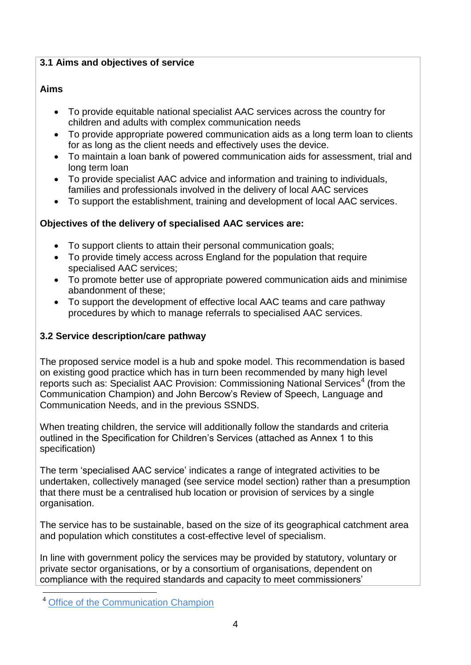## **3.1 Aims and objectives of service**

## **Aims**

- To provide equitable national specialist AAC services across the country for children and adults with complex communication needs
- To provide appropriate powered communication aids as a long term loan to clients for as long as the client needs and effectively uses the device.
- To maintain a loan bank of powered communication aids for assessment, trial and long term loan
- To provide specialist AAC advice and information and training to individuals, families and professionals involved in the delivery of local AAC services
- To support the establishment, training and development of local AAC services.

## **Objectives of the delivery of specialised AAC services are:**

- To support clients to attain their personal communication goals;
- To provide timely access across England for the population that require specialised AAC services;
- To promote better use of appropriate powered communication aids and minimise abandonment of these;
- To support the development of effective local AAC teams and care pathway procedures by which to manage referrals to specialised AAC services.

## **3.2 Service description/care pathway**

The proposed service model is a hub and spoke model. This recommendation is based on existing good practice which has in turn been recommended by many high level reports such as: Specialist AAC Provision: Commissioning National Services<sup>4</sup> (from the Communication Champion) and John Bercow's Review of Speech, Language and Communication Needs, and in the previous SSNDS.

When treating children, the service will additionally follow the standards and criteria outlined in the Specification for Children's Services (attached as Annex 1 to this specification)

The term 'specialised AAC service' indicates a range of integrated activities to be undertaken, collectively managed (see service model section) rather than a presumption that there must be a centralised hub location or provision of services by a single organisation.

The service has to be sustainable, based on the size of its geographical catchment area and population which constitutes a cost-effective level of specialism.

In line with government policy the services may be provided by statutory, voluntary or private sector organisations, or by a consortium of organisations, dependent on compliance with the required standards and capacity to meet commissioners'

1

**[Office of the Communication Champion](http://www.communicationmatters.org.uk/sites/default/files/downloads/standards/AAC_Report_Final_comm_champion_nov_2011.pdf)**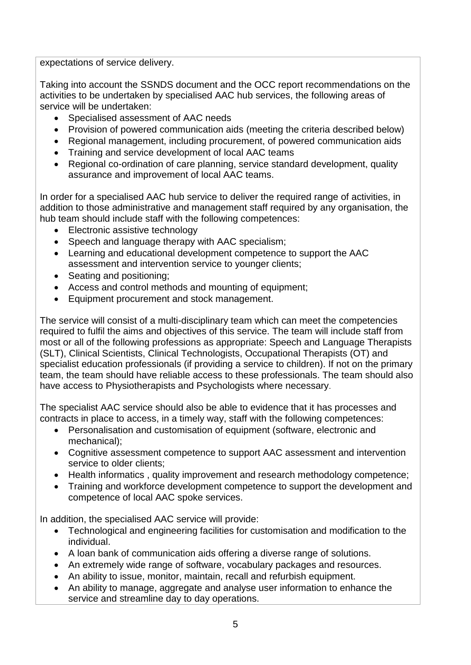expectations of service delivery.

Taking into account the SSNDS document and the OCC report recommendations on the activities to be undertaken by specialised AAC hub services, the following areas of service will be undertaken:

- Specialised assessment of AAC needs
- Provision of powered communication aids (meeting the criteria described below)
- Regional management, including procurement, of powered communication aids
- Training and service development of local AAC teams
- Regional co-ordination of care planning, service standard development, quality assurance and improvement of local AAC teams.

In order for a specialised AAC hub service to deliver the required range of activities, in addition to those administrative and management staff required by any organisation, the hub team should include staff with the following competences:

- Electronic assistive technology
- Speech and language therapy with AAC specialism;
- Learning and educational development competence to support the AAC assessment and intervention service to younger clients;
- Seating and positioning;
- Access and control methods and mounting of equipment;
- Equipment procurement and stock management.

The service will consist of a multi-disciplinary team which can meet the competencies required to fulfil the aims and objectives of this service. The team will include staff from most or all of the following professions as appropriate: Speech and Language Therapists (SLT), Clinical Scientists, Clinical Technologists, Occupational Therapists (OT) and specialist education professionals (if providing a service to children). If not on the primary team, the team should have reliable access to these professionals. The team should also have access to Physiotherapists and Psychologists where necessary.

The specialist AAC service should also be able to evidence that it has processes and contracts in place to access, in a timely way, staff with the following competences:

- Personalisation and customisation of equipment (software, electronic and mechanical);
- Cognitive assessment competence to support AAC assessment and intervention service to older clients;
- Health informatics, quality improvement and research methodology competence;
- Training and workforce development competence to support the development and competence of local AAC spoke services.

In addition, the specialised AAC service will provide:

- Technological and engineering facilities for customisation and modification to the individual.
- A loan bank of communication aids offering a diverse range of solutions.
- An extremely wide range of software, vocabulary packages and resources.
- An ability to issue, monitor, maintain, recall and refurbish equipment.
- An ability to manage, aggregate and analyse user information to enhance the service and streamline day to day operations.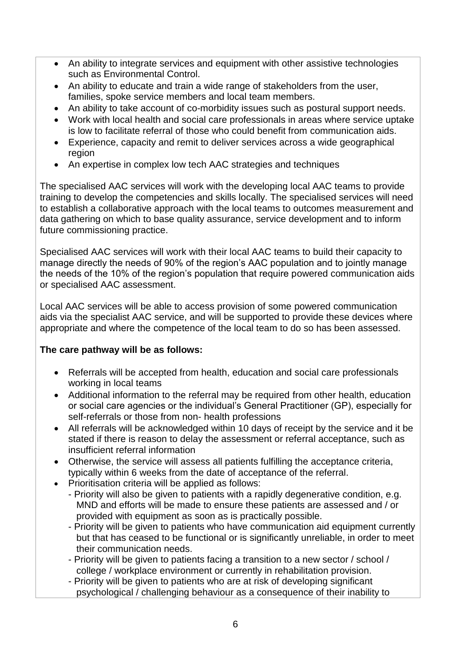- An ability to integrate services and equipment with other assistive technologies such as Environmental Control.
- An ability to educate and train a wide range of stakeholders from the user, families, spoke service members and local team members.
- An ability to take account of co-morbidity issues such as postural support needs.
- Work with local health and social care professionals in areas where service uptake is low to facilitate referral of those who could benefit from communication aids.
- Experience, capacity and remit to deliver services across a wide geographical region
- An expertise in complex low tech AAC strategies and techniques

The specialised AAC services will work with the developing local AAC teams to provide training to develop the competencies and skills locally. The specialised services will need to establish a collaborative approach with the local teams to outcomes measurement and data gathering on which to base quality assurance, service development and to inform future commissioning practice.

Specialised AAC services will work with their local AAC teams to build their capacity to manage directly the needs of 90% of the region's AAC population and to jointly manage the needs of the 10% of the region's population that require powered communication aids or specialised AAC assessment.

Local AAC services will be able to access provision of some powered communication aids via the specialist AAC service, and will be supported to provide these devices where appropriate and where the competence of the local team to do so has been assessed.

## **The care pathway will be as follows:**

- Referrals will be accepted from health, education and social care professionals working in local teams
- Additional information to the referral may be required from other health, education or social care agencies or the individual's General Practitioner (GP), especially for self-referrals or those from non- health professions
- All referrals will be acknowledged within 10 days of receipt by the service and it be stated if there is reason to delay the assessment or referral acceptance, such as insufficient referral information
- Otherwise, the service will assess all patients fulfilling the acceptance criteria, typically within 6 weeks from the date of acceptance of the referral.
- Prioritisation criteria will be applied as follows:
	- Priority will also be given to patients with a rapidly degenerative condition, e.g. MND and efforts will be made to ensure these patients are assessed and / or provided with equipment as soon as is practically possible.
		- Priority will be given to patients who have communication aid equipment currently but that has ceased to be functional or is significantly unreliable, in order to meet their communication needs.
		- Priority will be given to patients facing a transition to a new sector / school / college / workplace environment or currently in rehabilitation provision.
		- Priority will be given to patients who are at risk of developing significant psychological / challenging behaviour as a consequence of their inability to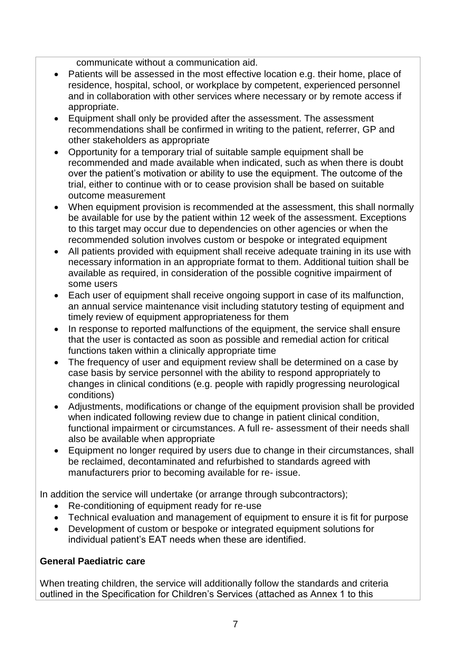communicate without a communication aid.

- Patients will be assessed in the most effective location e.g. their home, place of residence, hospital, school, or workplace by competent, experienced personnel and in collaboration with other services where necessary or by remote access if appropriate.
- Equipment shall only be provided after the assessment. The assessment recommendations shall be confirmed in writing to the patient, referrer, GP and other stakeholders as appropriate
- Opportunity for a temporary trial of suitable sample equipment shall be recommended and made available when indicated, such as when there is doubt over the patient's motivation or ability to use the equipment. The outcome of the trial, either to continue with or to cease provision shall be based on suitable outcome measurement
- When equipment provision is recommended at the assessment, this shall normally be available for use by the patient within 12 week of the assessment. Exceptions to this target may occur due to dependencies on other agencies or when the recommended solution involves custom or bespoke or integrated equipment
- All patients provided with equipment shall receive adequate training in its use with necessary information in an appropriate format to them. Additional tuition shall be available as required, in consideration of the possible cognitive impairment of some users
- Each user of equipment shall receive ongoing support in case of its malfunction, an annual service maintenance visit including statutory testing of equipment and timely review of equipment appropriateness for them
- In response to reported malfunctions of the equipment, the service shall ensure that the user is contacted as soon as possible and remedial action for critical functions taken within a clinically appropriate time
- The frequency of user and equipment review shall be determined on a case by case basis by service personnel with the ability to respond appropriately to changes in clinical conditions (e.g. people with rapidly progressing neurological conditions)
- Adjustments, modifications or change of the equipment provision shall be provided when indicated following review due to change in patient clinical condition, functional impairment or circumstances. A full re- assessment of their needs shall also be available when appropriate
- Equipment no longer required by users due to change in their circumstances, shall be reclaimed, decontaminated and refurbished to standards agreed with manufacturers prior to becoming available for re- issue.

In addition the service will undertake (or arrange through subcontractors);

- Re-conditioning of equipment ready for re-use
- Technical evaluation and management of equipment to ensure it is fit for purpose
- Development of custom or bespoke or integrated equipment solutions for individual patient's EAT needs when these are identified.

#### **General Paediatric care**

When treating children, the service will additionally follow the standards and criteria outlined in the Specification for Children's Services (attached as Annex 1 to this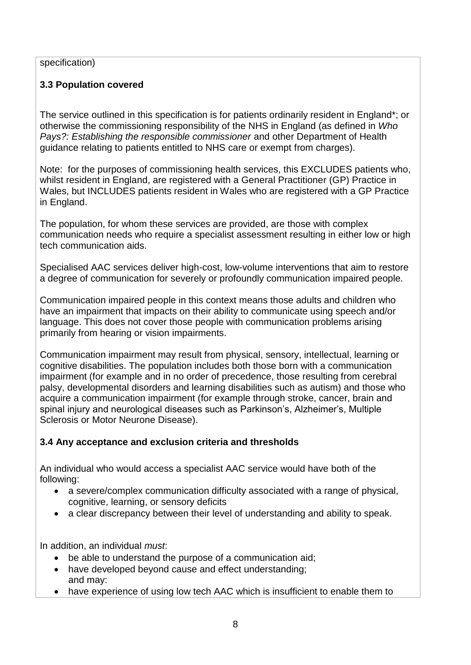#### specification)

## **3.3 Population covered**

The service outlined in this specification is for patients ordinarily resident in England\*; or otherwise the commissioning responsibility of the NHS in England (as defined in *Who Pays?: Establishing the responsible commissioner* and other Department of Health guidance relating to patients entitled to NHS care or exempt from charges).

Note: for the purposes of commissioning health services, this EXCLUDES patients who, whilst resident in England, are registered with a General Practitioner (GP) Practice in Wales, but INCLUDES patients resident in Wales who are registered with a GP Practice in England.

The population, for whom these services are provided, are those with complex communication needs who require a specialist assessment resulting in either low or high tech communication aids.

Specialised AAC services deliver high-cost, low-volume interventions that aim to restore a degree of communication for severely or profoundly communication impaired people.

Communication impaired people in this context means those adults and children who have an impairment that impacts on their ability to communicate using speech and/or language. This does not cover those people with communication problems arising primarily from hearing or vision impairments.

Communication impairment may result from physical, sensory, intellectual, learning or cognitive disabilities. The population includes both those born with a communication impairment (for example and in no order of precedence, those resulting from cerebral palsy, developmental disorders and learning disabilities such as autism) and those who acquire a communication impairment (for example through stroke, cancer, brain and spinal injury and neurological diseases such as Parkinson's, Alzheimer's, Multiple Sclerosis or Motor Neurone Disease).

## **3.4 Any acceptance and exclusion criteria and thresholds**

An individual who would access a specialist AAC service would have both of the following:

- a severe/complex communication difficulty associated with a range of physical, cognitive, learning, or sensory deficits
- a clear discrepancy between their level of understanding and ability to speak.

In addition, an individual *must*:

- be able to understand the purpose of a communication aid;
- have developed beyond cause and effect understanding; and may:
- have experience of using low tech AAC which is insufficient to enable them to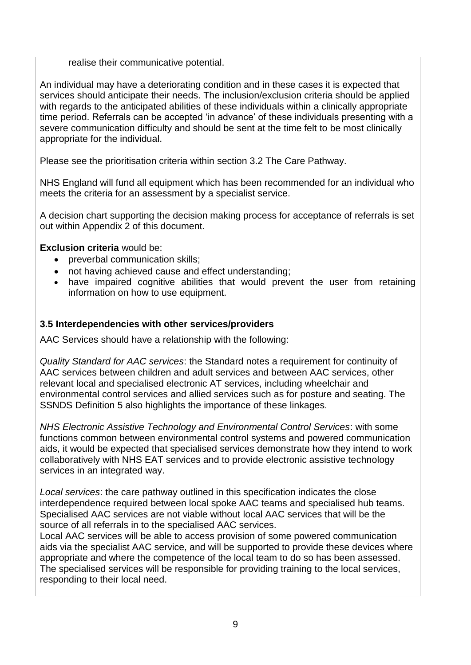realise their communicative potential.

An individual may have a deteriorating condition and in these cases it is expected that services should anticipate their needs. The inclusion/exclusion criteria should be applied with regards to the anticipated abilities of these individuals within a clinically appropriate time period. Referrals can be accepted 'in advance' of these individuals presenting with a severe communication difficulty and should be sent at the time felt to be most clinically appropriate for the individual.

Please see the prioritisation criteria within section 3.2 The Care Pathway.

NHS England will fund all equipment which has been recommended for an individual who meets the criteria for an assessment by a specialist service.

A decision chart supporting the decision making process for acceptance of referrals is set out within Appendix 2 of this document.

## **Exclusion criteria** would be:

- preverbal communication skills;
- not having achieved cause and effect understanding;
- have impaired cognitive abilities that would prevent the user from retaining information on how to use equipment.

## **3.5 Interdependencies with other services/providers**

AAC Services should have a relationship with the following:

*Quality Standard for AAC services*: the Standard notes a requirement for continuity of AAC services between children and adult services and between AAC services, other relevant local and specialised electronic AT services, including wheelchair and environmental control services and allied services such as for posture and seating. The SSNDS Definition 5 also highlights the importance of these linkages.

*NHS Electronic Assistive Technology and Environmental Control Services*: with some functions common between environmental control systems and powered communication aids, it would be expected that specialised services demonstrate how they intend to work collaboratively with NHS EAT services and to provide electronic assistive technology services in an integrated way.

*Local services*: the care pathway outlined in this specification indicates the close interdependence required between local spoke AAC teams and specialised hub teams. Specialised AAC services are not viable without local AAC services that will be the source of all referrals in to the specialised AAC services.

Local AAC services will be able to access provision of some powered communication aids via the specialist AAC service, and will be supported to provide these devices where appropriate and where the competence of the local team to do so has been assessed. The specialised services will be responsible for providing training to the local services, responding to their local need.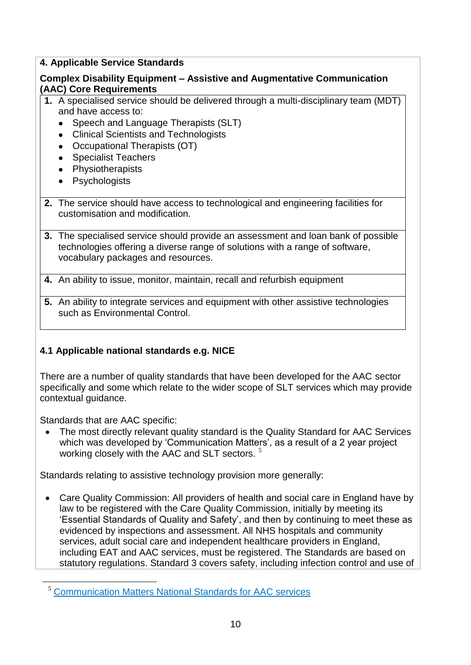## **4. Applicable Service Standards**

## **Complex Disability Equipment – Assistive and Augmentative Communication (AAC) Core Requirements**

- **1.** A specialised service should be delivered through a multi-disciplinary team (MDT) and have access to:
	- Speech and Language Therapists (SLT)
	- Clinical Scientists and Technologists
	- Occupational Therapists (OT)
	- Specialist Teachers
	- Physiotherapists
	- Psychologists
- **2.** The service should have access to technological and engineering facilities for customisation and modification.
- **3.** The specialised service should provide an assessment and loan bank of possible technologies offering a diverse range of solutions with a range of software, vocabulary packages and resources.
- **4.** An ability to issue, monitor, maintain, recall and refurbish equipment
- **5.** An ability to integrate services and equipment with other assistive technologies such as Environmental Control.

## **4.1 Applicable national standards e.g. NICE**

There are a number of quality standards that have been developed for the AAC sector specifically and some which relate to the wider scope of SLT services which may provide contextual guidance.

Standards that are AAC specific:

1

 The most directly relevant quality standard is the Quality Standard for AAC Services which was developed by 'Communication Matters', as a result of a 2 year project working closely with the AAC and SLT sectors.<sup>5</sup>

Standards relating to assistive technology provision more generally:

 Care Quality Commission: All providers of health and social care in England have by law to be registered with the Care Quality Commission, initially by meeting its 'Essential Standards of Quality and Safety', and then by continuing to meet these as evidenced by inspections and assessment. All NHS hospitals and community services, adult social care and independent healthcare providers in England, including EAT and AAC services, must be registered. The Standards are based on statutory regulations. Standard 3 covers safety, including infection control and use of

<sup>5</sup> [Communication Matters National Standards for AAC services](http://www.communicationmatters.org.uk/nationalaacstandards)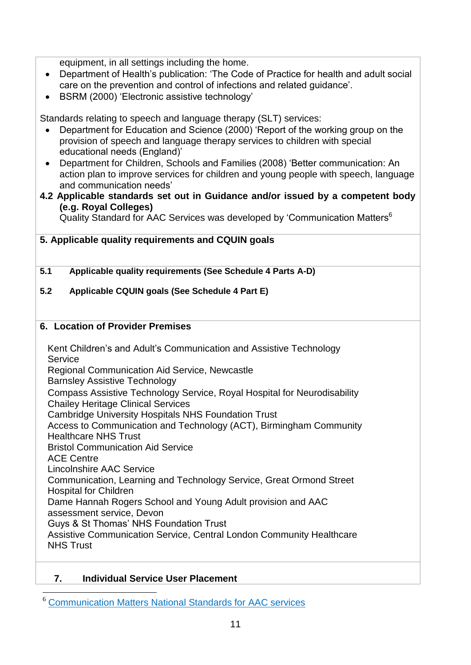equipment, in all settings including the home.

- Department of Health's publication: 'The Code of Practice for health and adult social care on the prevention and control of infections and related guidance'.
- BSRM (2000) 'Electronic assistive technology'

Standards relating to speech and language therapy (SLT) services:

- Department for Education and Science (2000) 'Report of the working group on the provision of speech and language therapy services to children with special educational needs (England)'
- Department for Children, Schools and Families (2008) 'Better communication: An action plan to improve services for children and young people with speech, language and communication needs'
- **4.2 Applicable standards set out in Guidance and/or issued by a competent body (e.g. Royal Colleges)**

Quality Standard for AAC Services was developed by 'Communication Matters<sup>6</sup>

## **5. Applicable quality requirements and CQUIN goals**

**5.1 Applicable quality requirements (See Schedule 4 Parts A-D)**

### **5.2 Applicable CQUIN goals (See Schedule 4 Part E)**

#### **6. Location of Provider Premises**

Kent Children's and Adult's Communication and Assistive Technology Service Regional Communication Aid Service, Newcastle Barnsley Assistive Technology Compass Assistive Technology Service, Royal Hospital for Neurodisability Chailey Heritage Clinical Services Cambridge University Hospitals NHS Foundation Trust Access to Communication and Technology (ACT), Birmingham Community Healthcare NHS Trust Bristol Communication Aid Service ACE Centre Lincolnshire AAC Service Communication, Learning and Technology Service, Great Ormond Street Hospital for Children Dame Hannah Rogers School and Young Adult provision and AAC assessment service, Devon Guys & St Thomas' NHS Foundation Trust Assistive Communication Service, Central London Community Healthcare NHS Trust

## **7. Individual Service User Placement**

<sup>1</sup> <sup>6</sup> [Communication Matters National Standards for AAC services](http://www.communicationmatters.org.uk/nationalaacstandards)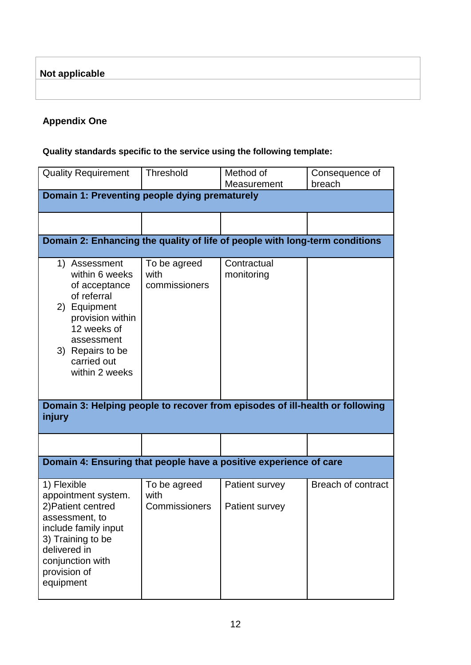**Not applicable**

## **Appendix One**

## **Quality standards specific to the service using the following template:**

| <b>Quality Requirement</b>                                                                                                                                                               | <b>Threshold</b>                      | Method of<br>Measurement         | Consequence of<br>breach  |  |  |  |  |
|------------------------------------------------------------------------------------------------------------------------------------------------------------------------------------------|---------------------------------------|----------------------------------|---------------------------|--|--|--|--|
| Domain 1: Preventing people dying prematurely                                                                                                                                            |                                       |                                  |                           |  |  |  |  |
|                                                                                                                                                                                          |                                       |                                  |                           |  |  |  |  |
|                                                                                                                                                                                          |                                       |                                  |                           |  |  |  |  |
| Domain 2: Enhancing the quality of life of people with long-term conditions                                                                                                              |                                       |                                  |                           |  |  |  |  |
| 1) Assessment<br>within 6 weeks<br>of acceptance<br>of referral<br>2) Equipment<br>provision within<br>12 weeks of<br>assessment<br>3) Repairs to be<br>carried out<br>within 2 weeks    | To be agreed<br>with<br>commissioners | Contractual<br>monitoring        |                           |  |  |  |  |
| Domain 3: Helping people to recover from episodes of ill-health or following<br>injury                                                                                                   |                                       |                                  |                           |  |  |  |  |
|                                                                                                                                                                                          |                                       |                                  |                           |  |  |  |  |
| Domain 4: Ensuring that people have a positive experience of care                                                                                                                        |                                       |                                  |                           |  |  |  |  |
| 1) Flexible<br>appointment system.<br>2) Patient centred<br>assessment, to<br>include family input<br>3) Training to be<br>delivered in<br>conjunction with<br>provision of<br>equipment | To be agreed<br>with<br>Commissioners | Patient survey<br>Patient survey | <b>Breach of contract</b> |  |  |  |  |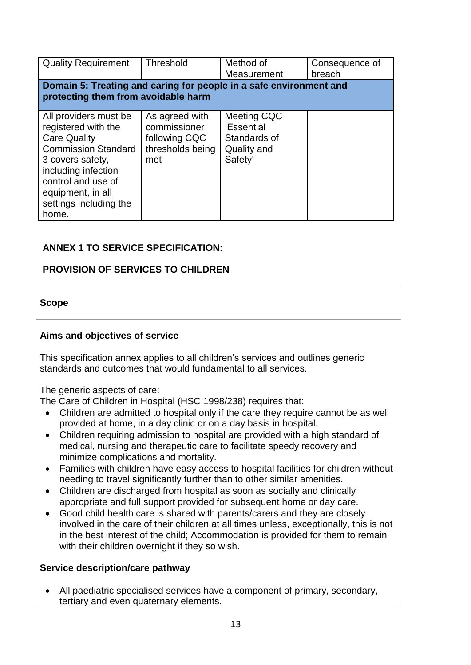| <b>Quality Requirement</b>                                                                                                                                                                                                 | Threshold                                                                  | Method of<br>Measurement                                            | Consequence of<br>breach |  |  |  |  |
|----------------------------------------------------------------------------------------------------------------------------------------------------------------------------------------------------------------------------|----------------------------------------------------------------------------|---------------------------------------------------------------------|--------------------------|--|--|--|--|
| Domain 5: Treating and caring for people in a safe environment and<br>protecting them from avoidable harm                                                                                                                  |                                                                            |                                                                     |                          |  |  |  |  |
| All providers must be<br>registered with the<br><b>Care Quality</b><br><b>Commission Standard</b><br>3 covers safety,<br>including infection<br>control and use of<br>equipment, in all<br>settings including the<br>home. | As agreed with<br>commissioner<br>following CQC<br>thresholds being<br>met | Meeting CQC<br>'Essential<br>Standards of<br>Quality and<br>Safety' |                          |  |  |  |  |

## **ANNEX 1 TO SERVICE SPECIFICATION:**

## **PROVISION OF SERVICES TO CHILDREN**

### **Scope**

### **Aims and objectives of service**

This specification annex applies to all children's services and outlines generic standards and outcomes that would fundamental to all services.

The generic aspects of care:

The Care of Children in Hospital (HSC 1998/238) requires that:

- Children are admitted to hospital only if the care they require cannot be as well provided at home, in a day clinic or on a day basis in hospital.
- Children requiring admission to hospital are provided with a high standard of medical, nursing and therapeutic care to facilitate speedy recovery and minimize complications and mortality.
- Families with children have easy access to hospital facilities for children without needing to travel significantly further than to other similar amenities.
- Children are discharged from hospital as soon as socially and clinically appropriate and full support provided for subsequent home or day care.
- Good child health care is shared with parents/carers and they are closely involved in the care of their children at all times unless, exceptionally, this is not in the best interest of the child; Accommodation is provided for them to remain with their children overnight if they so wish.

#### **Service description/care pathway**

 All paediatric specialised services have a component of primary, secondary, tertiary and even quaternary elements.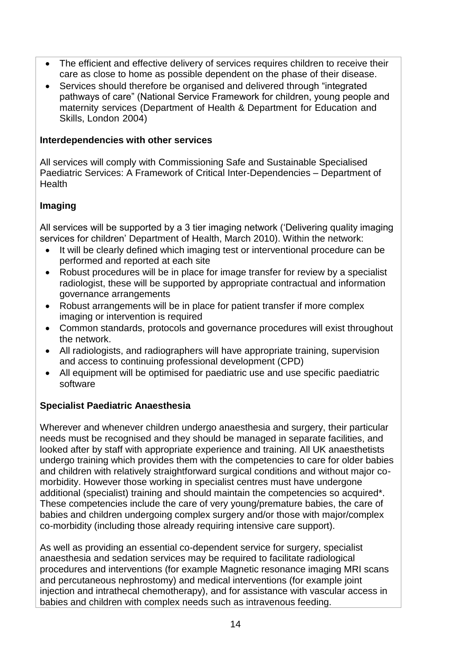- The efficient and effective delivery of services requires children to receive their care as close to home as possible dependent on the phase of their disease.
- Services should therefore be organised and delivered through "integrated" pathways of care" (National Service Framework for children, young people and maternity services (Department of Health & Department for Education and Skills, London 2004)

#### **Interdependencies with other services**

All services will comply with Commissioning Safe and Sustainable Specialised Paediatric Services: A Framework of Critical Inter-Dependencies – Department of Health

## **Imaging**

All services will be supported by a 3 tier imaging network ('Delivering quality imaging services for children' Department of Health, March 2010). Within the network:

- It will be clearly defined which imaging test or interventional procedure can be performed and reported at each site
- Robust procedures will be in place for image transfer for review by a specialist radiologist, these will be supported by appropriate contractual and information governance arrangements
- Robust arrangements will be in place for patient transfer if more complex imaging or intervention is required
- Common standards, protocols and governance procedures will exist throughout the network.
- All radiologists, and radiographers will have appropriate training, supervision and access to continuing professional development (CPD)
- All equipment will be optimised for paediatric use and use specific paediatric software

## **Specialist Paediatric Anaesthesia**

Wherever and whenever children undergo anaesthesia and surgery, their particular needs must be recognised and they should be managed in separate facilities, and looked after by staff with appropriate experience and training. All UK anaesthetists undergo training which provides them with the competencies to care for older babies and children with relatively straightforward surgical conditions and without major comorbidity. However those working in specialist centres must have undergone additional (specialist) training and should maintain the competencies so acquired\*. These competencies include the care of very young/premature babies, the care of babies and children undergoing complex surgery and/or those with major/complex co-morbidity (including those already requiring intensive care support).

As well as providing an essential co-dependent service for surgery, specialist anaesthesia and sedation services may be required to facilitate radiological procedures and interventions (for example Magnetic resonance imaging MRI scans and percutaneous nephrostomy) and medical interventions (for example joint injection and intrathecal chemotherapy), and for assistance with vascular access in babies and children with complex needs such as intravenous feeding.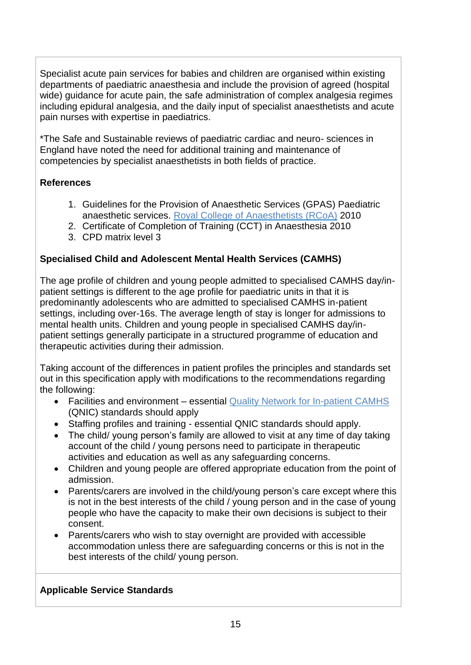Specialist acute pain services for babies and children are organised within existing departments of paediatric anaesthesia and include the provision of agreed (hospital wide) guidance for acute pain, the safe administration of complex analgesia regimes including epidural analgesia, and the daily input of specialist anaesthetists and acute pain nurses with expertise in paediatrics.

\*The Safe and Sustainable reviews of paediatric cardiac and neuro- sciences in England have noted the need for additional training and maintenance of competencies by specialist anaesthetists in both fields of practice.

## **References**

- 1. Guidelines for the Provision of Anaesthetic Services (GPAS) Paediatric anaesthetic services. [Royal College of Anaesthetists \(RCoA\)](http://www.rcoa.ac.uk/) 2010
- 2. Certificate of Completion of Training (CCT) in Anaesthesia 2010
- 3. CPD matrix level 3

## **Specialised Child and Adolescent Mental Health Services (CAMHS)**

The age profile of children and young people admitted to specialised CAMHS day/inpatient settings is different to the age profile for paediatric units in that it is predominantly adolescents who are admitted to specialised CAMHS in-patient settings, including over-16s. The average length of stay is longer for admissions to mental health units. Children and young people in specialised CAMHS day/inpatient settings generally participate in a structured programme of education and therapeutic activities during their admission.

Taking account of the differences in patient profiles the principles and standards set out in this specification apply with modifications to the recommendations regarding the following:

- Facilities and environment essential [Quality Network for In-patient CAMHS](http://www.rcpsych.ac.uk/quality/quality,accreditationaudit/qnic1.aspx) (QNIC) standards should apply
- Staffing profiles and training essential QNIC standards should apply.
- The child/ young person's family are allowed to visit at any time of day taking account of the child / young persons need to participate in therapeutic activities and education as well as any safeguarding concerns.
- Children and young people are offered appropriate education from the point of admission.
- Parents/carers are involved in the child/young person's care except where this is not in the best interests of the child / young person and in the case of young people who have the capacity to make their own decisions is subject to their consent.
- Parents/carers who wish to stay overnight are provided with accessible accommodation unless there are safeguarding concerns or this is not in the best interests of the child/ young person.

## **Applicable Service Standards**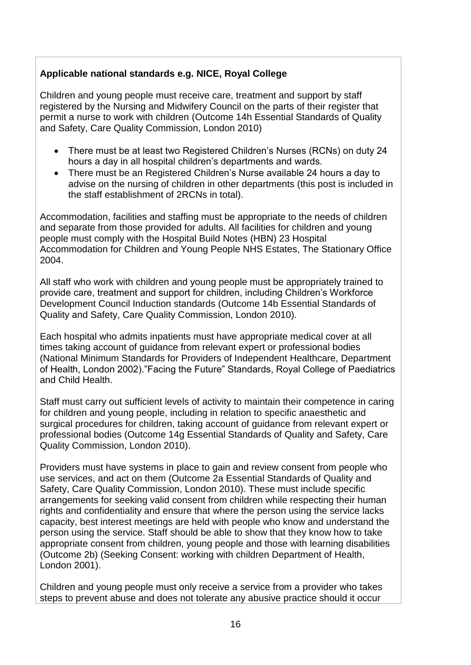## **Applicable national standards e.g. NICE, Royal College**

Children and young people must receive care, treatment and support by staff registered by the Nursing and Midwifery Council on the parts of their register that permit a nurse to work with children (Outcome 14h Essential Standards of Quality and Safety, Care Quality Commission, London 2010)

- There must be at least two Registered Children's Nurses (RCNs) on duty 24 hours a day in all hospital children's departments and wards.
- There must be an Registered Children's Nurse available 24 hours a day to advise on the nursing of children in other departments (this post is included in the staff establishment of 2RCNs in total).

Accommodation, facilities and staffing must be appropriate to the needs of children and separate from those provided for adults. All facilities for children and young people must comply with the Hospital Build Notes (HBN) 23 Hospital Accommodation for Children and Young People NHS Estates, The Stationary Office 2004.

All staff who work with children and young people must be appropriately trained to provide care, treatment and support for children, including Children's Workforce Development Council Induction standards (Outcome 14b Essential Standards of Quality and Safety, Care Quality Commission, London 2010).

Each hospital who admits inpatients must have appropriate medical cover at all times taking account of guidance from relevant expert or professional bodies (National Minimum Standards for Providers of Independent Healthcare, Department of Health, London 2002)."Facing the Future" Standards, Royal College of Paediatrics and Child Health.

Staff must carry out sufficient levels of activity to maintain their competence in caring for children and young people, including in relation to specific anaesthetic and surgical procedures for children, taking account of guidance from relevant expert or professional bodies (Outcome 14g Essential Standards of Quality and Safety, Care Quality Commission, London 2010).

Providers must have systems in place to gain and review consent from people who use services, and act on them (Outcome 2a Essential Standards of Quality and Safety, Care Quality Commission, London 2010). These must include specific arrangements for seeking valid consent from children while respecting their human rights and confidentiality and ensure that where the person using the service lacks capacity, best interest meetings are held with people who know and understand the person using the service. Staff should be able to show that they know how to take appropriate consent from children, young people and those with learning disabilities (Outcome 2b) (Seeking Consent: working with children Department of Health, London 2001).

Children and young people must only receive a service from a provider who takes steps to prevent abuse and does not tolerate any abusive practice should it occur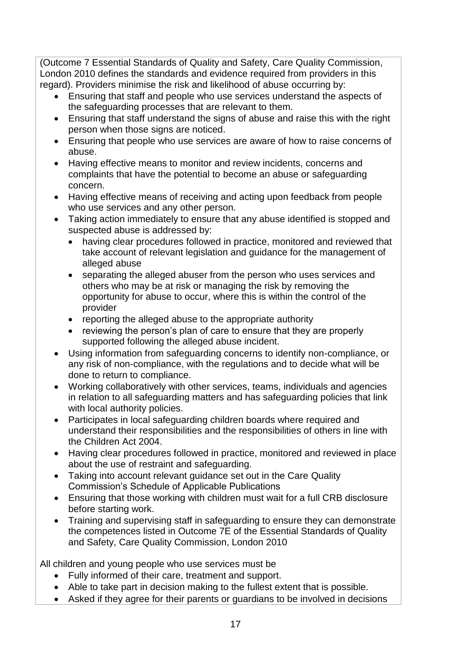(Outcome 7 Essential Standards of Quality and Safety, Care Quality Commission, London 2010 defines the standards and evidence required from providers in this regard). Providers minimise the risk and likelihood of abuse occurring by:

- Ensuring that staff and people who use services understand the aspects of the safeguarding processes that are relevant to them.
- Ensuring that staff understand the signs of abuse and raise this with the right person when those signs are noticed.
- Ensuring that people who use services are aware of how to raise concerns of abuse.
- Having effective means to monitor and review incidents, concerns and complaints that have the potential to become an abuse or safeguarding concern.
- Having effective means of receiving and acting upon feedback from people who use services and any other person.
- Taking action immediately to ensure that any abuse identified is stopped and suspected abuse is addressed by:
	- having clear procedures followed in practice, monitored and reviewed that take account of relevant legislation and guidance for the management of alleged abuse
	- separating the alleged abuser from the person who uses services and others who may be at risk or managing the risk by removing the opportunity for abuse to occur, where this is within the control of the provider
	- reporting the alleged abuse to the appropriate authority
	- reviewing the person's plan of care to ensure that they are properly supported following the alleged abuse incident.
- Using information from safeguarding concerns to identify non-compliance, or any risk of non-compliance, with the regulations and to decide what will be done to return to compliance.
- Working collaboratively with other services, teams, individuals and agencies in relation to all safeguarding matters and has safeguarding policies that link with local authority policies.
- Participates in local safeguarding children boards where required and understand their responsibilities and the responsibilities of others in line with the Children Act 2004.
- Having clear procedures followed in practice, monitored and reviewed in place about the use of restraint and safeguarding.
- Taking into account relevant guidance set out in the Care Quality Commission's Schedule of Applicable Publications
- Ensuring that those working with children must wait for a full CRB disclosure before starting work.
- Training and supervising staff in safeguarding to ensure they can demonstrate the competences listed in Outcome 7E of the Essential Standards of Quality and Safety, Care Quality Commission, London 2010

All children and young people who use services must be

- Fully informed of their care, treatment and support.
- Able to take part in decision making to the fullest extent that is possible.
- Asked if they agree for their parents or guardians to be involved in decisions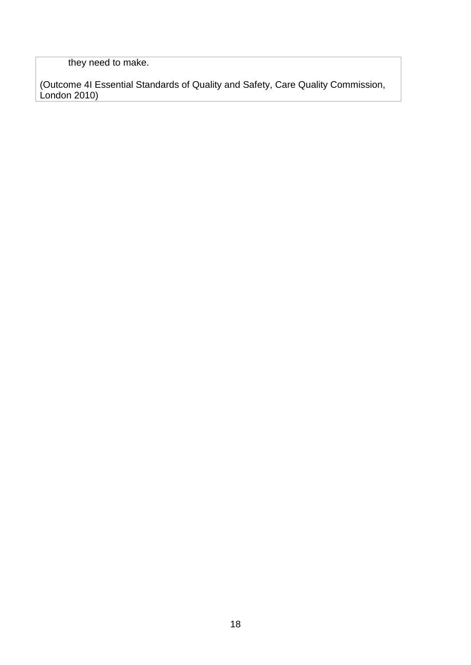they need to make.

(Outcome 4I Essential Standards of Quality and Safety, Care Quality Commission, London 2010)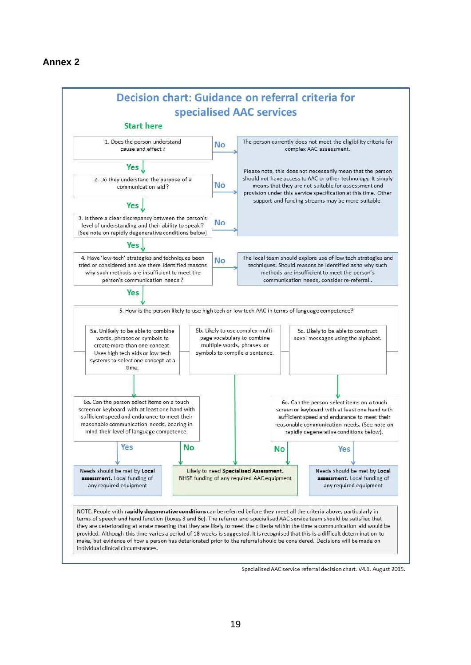

Specialised AAC service referral decision chart. V4.1. August 2015.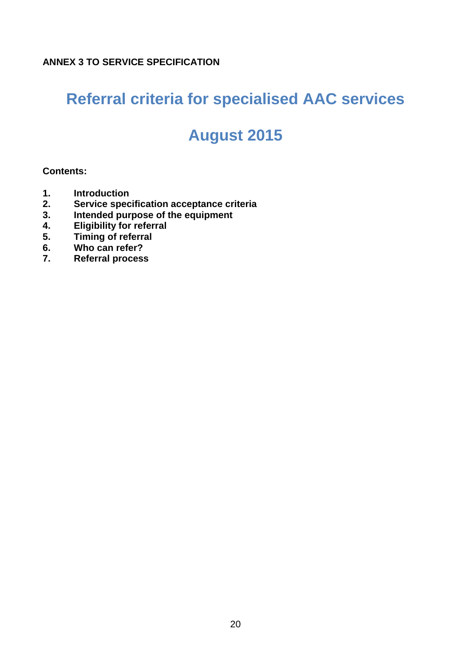# **Referral criteria for specialised AAC services**

# **August 2015**

### **Contents:**

- **1. Introduction**
- **2. Service specification acceptance criteria**
- **3. Intended purpose of the equipment**
- **4. Eligibility for referral**
- **5. Timing of referral**
- **6. Who can refer?**
- **7. Referral process**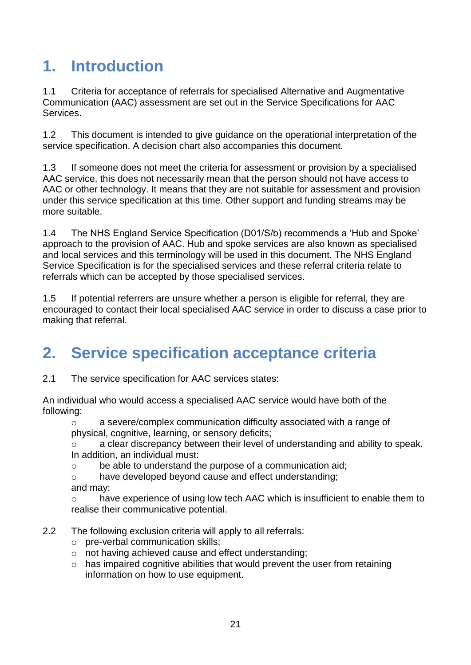# **1. Introduction**

1.1 Criteria for acceptance of referrals for specialised Alternative and Augmentative Communication (AAC) assessment are set out in the Service Specifications for AAC Services.

1.2 This document is intended to give guidance on the operational interpretation of the service specification. A decision chart also accompanies this document.

1.3 If someone does not meet the criteria for assessment or provision by a specialised AAC service, this does not necessarily mean that the person should not have access to AAC or other technology. It means that they are not suitable for assessment and provision under this service specification at this time. Other support and funding streams may be more suitable.

1.4 The NHS England Service Specification (D01/S/b) recommends a 'Hub and Spoke' approach to the provision of AAC. Hub and spoke services are also known as specialised and local services and this terminology will be used in this document. The NHS England Service Specification is for the specialised services and these referral criteria relate to referrals which can be accepted by those specialised services.

1.5 If potential referrers are unsure whether a person is eligible for referral, they are encouraged to contact their local specialised AAC service in order to discuss a case prior to making that referral.

# **2. Service specification acceptance criteria**

2.1 The service specification for AAC services states:

An individual who would access a specialised AAC service would have both of the following:

 $\circ$  a severe/complex communication difficulty associated with a range of physical, cognitive, learning, or sensory deficits;

o a clear discrepancy between their level of understanding and ability to speak. In addition, an individual must:

o be able to understand the purpose of a communication aid;

o have developed beyond cause and effect understanding; and may:

o have experience of using low tech AAC which is insufficient to enable them to realise their communicative potential.

- 2.2 The following exclusion criteria will apply to all referrals:
	- o pre-verbal communication skills;
	- o not having achieved cause and effect understanding;
	- $\circ$  has impaired cognitive abilities that would prevent the user from retaining information on how to use equipment.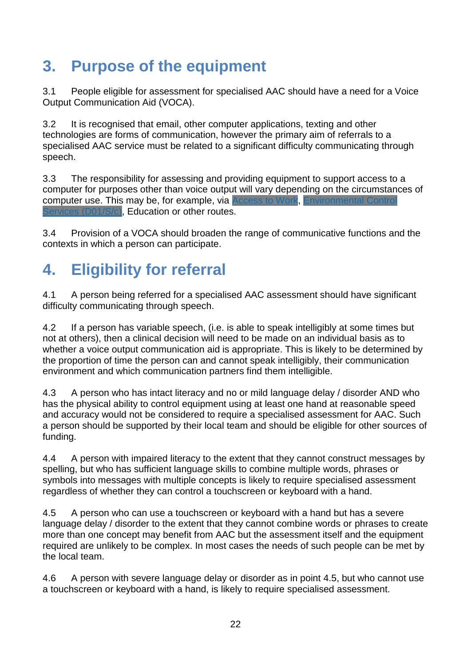# **3. Purpose of the equipment**

3.1 People eligible for assessment for specialised AAC should have a need for a Voice Output Communication Aid (VOCA).

3.2 It is recognised that email, other computer applications, texting and other technologies are forms of communication, however the primary aim of referrals to a specialised AAC service must be related to a significant difficulty communicating through speech.

3.3 The responsibility for assessing and providing equipment to support access to a computer for purposes other than voice output will vary depending on the circumstances of computer use. This may be, for example, via [Access](https://www.gov.uk/access-to-work/overview) to Work, This may be, Controlled Via 01/S/c), Education or other routes.

3.4 Provision of a VOCA should broaden the range of communicative functions and the contexts in which a person can participate.

# **4. Eligibility for referral**

4.1 A person being referred for a specialised AAC assessment should have significant difficulty communicating through speech.

4.2 If a person has variable speech, (i.e. is able to speak intelligibly at some times but not at others), then a clinical decision will need to be made on an individual basis as to whether a voice output communication aid is appropriate. This is likely to be determined by the proportion of time the person can and cannot speak intelligibly, their communication environment and which communication partners find them intelligible.

4.3 A person who has intact literacy and no or mild language delay / disorder AND who has the physical ability to control equipment using at least one hand at reasonable speed and accuracy would not be considered to require a specialised assessment for AAC. Such a person should be supported by their local team and should be eligible for other sources of funding.

4.4 A person with impaired literacy to the extent that they cannot construct messages by spelling, but who has sufficient language skills to combine multiple words, phrases or symbols into messages with multiple concepts is likely to require specialised assessment regardless of whether they can control a touchscreen or keyboard with a hand.

4.5 A person who can use a touchscreen or keyboard with a hand but has a severe language delay / disorder to the extent that they cannot combine words or phrases to create more than one concept may benefit from AAC but the assessment itself and the equipment required are unlikely to be complex. In most cases the needs of such people can be met by the local team.

4.6 A person with severe language delay or disorder as in point 4.5, but who cannot use a touchscreen or keyboard with a hand, is likely to require specialised assessment.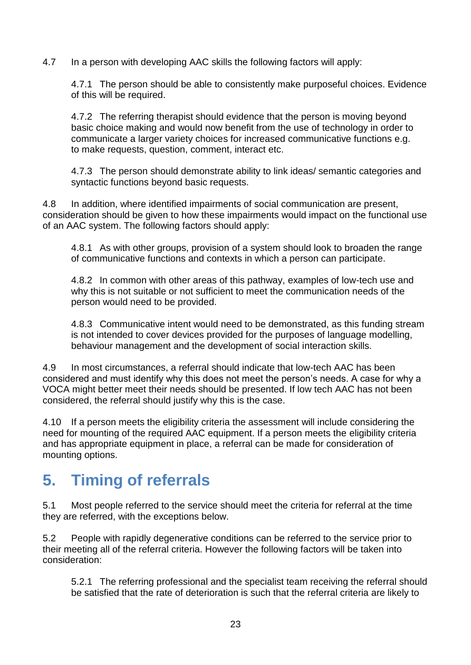4.7 In a person with developing AAC skills the following factors will apply:

4.7.1 The person should be able to consistently make purposeful choices. Evidence of this will be required.

4.7.2 The referring therapist should evidence that the person is moving beyond basic choice making and would now benefit from the use of technology in order to communicate a larger variety choices for increased communicative functions e.g. to make requests, question, comment, interact etc.

4.7.3 The person should demonstrate ability to link ideas/ semantic categories and syntactic functions beyond basic requests.

4.8 In addition, where identified impairments of social communication are present, consideration should be given to how these impairments would impact on the functional use of an AAC system. The following factors should apply:

4.8.1 As with other groups, provision of a system should look to broaden the range of communicative functions and contexts in which a person can participate.

4.8.2 In common with other areas of this pathway, examples of low-tech use and why this is not suitable or not sufficient to meet the communication needs of the person would need to be provided.

4.8.3 Communicative intent would need to be demonstrated, as this funding stream is not intended to cover devices provided for the purposes of language modelling, behaviour management and the development of social interaction skills.

4.9 In most circumstances, a referral should indicate that low-tech AAC has been considered and must identify why this does not meet the person's needs. A case for why a VOCA might better meet their needs should be presented. If low tech AAC has not been considered, the referral should justify why this is the case.

4.10 If a person meets the eligibility criteria the assessment will include considering the need for mounting of the required AAC equipment. If a person meets the eligibility criteria and has appropriate equipment in place, a referral can be made for consideration of mounting options.

# **5. Timing of referrals**

5.1 Most people referred to the service should meet the criteria for referral at the time they are referred, with the exceptions below.

5.2 People with rapidly degenerative conditions can be referred to the service prior to their meeting all of the referral criteria. However the following factors will be taken into consideration:

5.2.1 The referring professional and the specialist team receiving the referral should be satisfied that the rate of deterioration is such that the referral criteria are likely to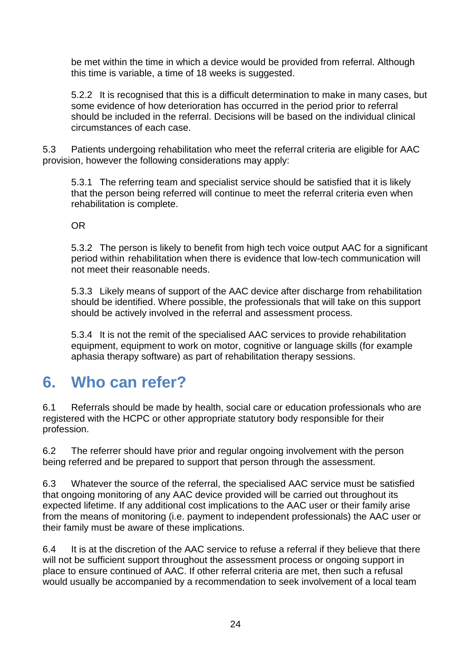be met within the time in which a device would be provided from referral. Although this time is variable, a time of 18 weeks is suggested.

5.2.2 It is recognised that this is a difficult determination to make in many cases, but some evidence of how deterioration has occurred in the period prior to referral should be included in the referral. Decisions will be based on the individual clinical circumstances of each case.

5.3 Patients undergoing rehabilitation who meet the referral criteria are eligible for AAC provision, however the following considerations may apply:

5.3.1 The referring team and specialist service should be satisfied that it is likely that the person being referred will continue to meet the referral criteria even when rehabilitation is complete.

OR

5.3.2 The person is likely to benefit from high tech voice output AAC for a significant period within rehabilitation when there is evidence that low-tech communication will not meet their reasonable needs.

5.3.3 Likely means of support of the AAC device after discharge from rehabilitation should be identified. Where possible, the professionals that will take on this support should be actively involved in the referral and assessment process.

5.3.4 It is not the remit of the specialised AAC services to provide rehabilitation equipment, equipment to work on motor, cognitive or language skills (for example aphasia therapy software) as part of rehabilitation therapy sessions.

# **6. Who can refer?**

6.1 Referrals should be made by health, social care or education professionals who are registered with the HCPC or other appropriate statutory body responsible for their profession.

6.2 The referrer should have prior and regular ongoing involvement with the person being referred and be prepared to support that person through the assessment.

6.3 Whatever the source of the referral, the specialised AAC service must be satisfied that ongoing monitoring of any AAC device provided will be carried out throughout its expected lifetime. If any additional cost implications to the AAC user or their family arise from the means of monitoring (i.e. payment to independent professionals) the AAC user or their family must be aware of these implications.

6.4 It is at the discretion of the AAC service to refuse a referral if they believe that there will not be sufficient support throughout the assessment process or ongoing support in place to ensure continued of AAC. If other referral criteria are met, then such a refusal would usually be accompanied by a recommendation to seek involvement of a local team